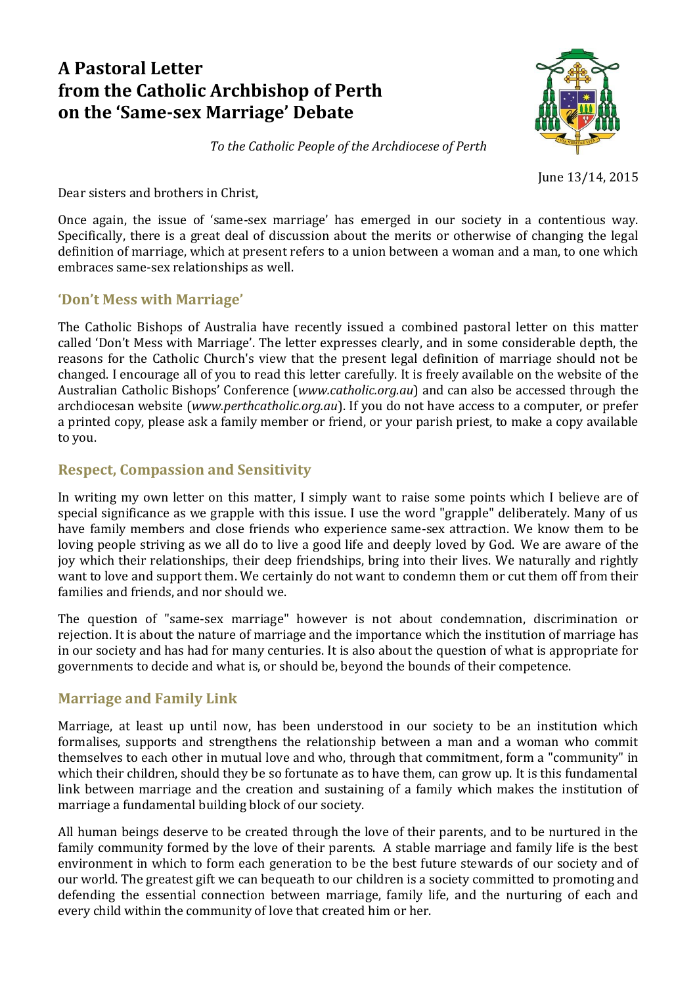# **A Pastoral Letter from the Catholic Archbishop of Perth on the 'Same-sex Marriage' Debate**



*To the Catholic People of the Archdiocese of Perth*

June 13/14, 2015

Dear sisters and brothers in Christ,

Once again, the issue of 'same-sex marriage' has emerged in our society in a contentious way. Specifically, there is a great deal of discussion about the merits or otherwise of changing the legal definition of marriage, which at present refers to a union between a woman and a man, to one which embraces same-sex relationships as well.

### **'Don't Mess with Marriage'**

The Catholic Bishops of Australia have recently issued a combined pastoral letter on this matter called 'Don't Mess with Marriage'. The letter expresses clearly, and in some considerable depth, the reasons for the Catholic Church's view that the present legal definition of marriage should not be changed. I encourage all of you to read this letter carefully. It is freely available on the website of the Australian Catholic Bishops' Conference (*www.catholic.org.au*) and can also be accessed through the archdiocesan website (*www.perthcatholic.org.au*). If you do not have access to a computer, or prefer a printed copy, please ask a family member or friend, or your parish priest, to make a copy available to you.

# **Respect, Compassion and Sensitivity**

In writing my own letter on this matter, I simply want to raise some points which I believe are of special significance as we grapple with this issue. I use the word "grapple" deliberately. Many of us have family members and close friends who experience same-sex attraction. We know them to be loving people striving as we all do to live a good life and deeply loved by God. We are aware of the joy which their relationships, their deep friendships, bring into their lives. We naturally and rightly want to love and support them. We certainly do not want to condemn them or cut them off from their families and friends, and nor should we.

The question of "same-sex marriage" however is not about condemnation, discrimination or rejection. It is about the nature of marriage and the importance which the institution of marriage has in our society and has had for many centuries. It is also about the question of what is appropriate for governments to decide and what is, or should be, beyond the bounds of their competence.

# **Marriage and Family Link**

Marriage, at least up until now, has been understood in our society to be an institution which formalises, supports and strengthens the relationship between a man and a woman who commit themselves to each other in mutual love and who, through that commitment, form a "community" in which their children, should they be so fortunate as to have them, can grow up. It is this fundamental link between marriage and the creation and sustaining of a family which makes the institution of marriage a fundamental building block of our society.

All human beings deserve to be created through the love of their parents, and to be nurtured in the family community formed by the love of their parents. A stable marriage and family life is the best environment in which to form each generation to be the best future stewards of our society and of our world. The greatest gift we can bequeath to our children is a society committed to promoting and defending the essential connection between marriage, family life, and the nurturing of each and every child within the community of love that created him or her.